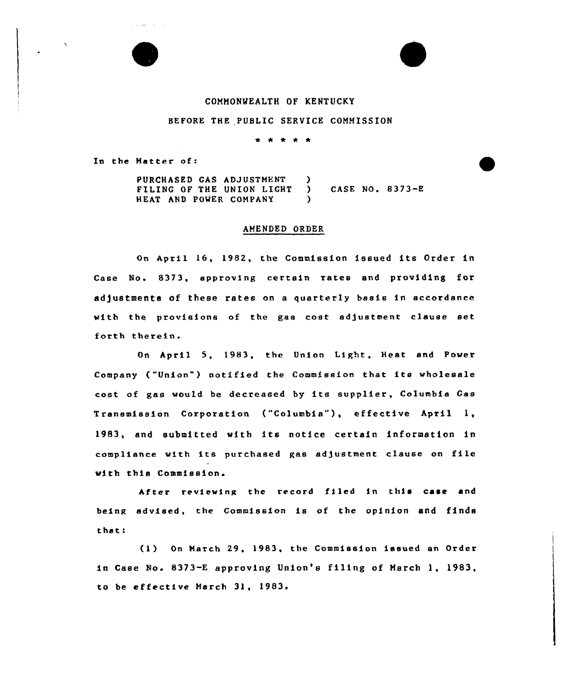## COMMONWEALTH OF KENTUCKY

### BEFORE THE PUBLIC SERVICE COMMISSION

\* \* \* \* \*

In the Matter of:

PURCHASED GAS ADJUSTMENT FILING OF THE UNION LIGHT HEAT AND POWER COMPANY  $\frac{1}{2}$ ) CASE NO. 8373-E  $\lambda$ 

### AMENDED ORDER

On Apxil 16, 198Z, the Commission issued its Order in Case No. 8373, approving certain rates and providing for adjustments of these rates on a quarterly basis in accordance with the provisions of the gas cost adjustment clause set forth therein

On April 5, 1983, the Union Light, Heat and Power Company ("Union") notified the Commission that its wholesale cost of gas would be decreased by its supplier, Columbia Gas Transmission Corporation ("Columbia"), effective April 1, 1983, and submitted with its notice certain information in compliance with its purchased gas adjustment clause on file with this Commission.

After reviewing the record filed in this case and being advised, the Commission is of the opinion and finds that:

(1) On March 29, 1983, the Commission issued an Order in Case No. 8373-E approving Union's filing of March 1, 1983, to be effective March 31, 1983.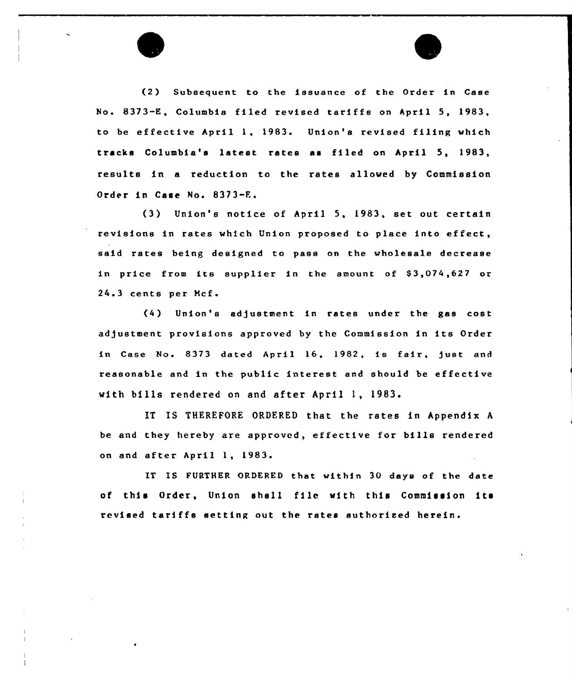(2) Subsequent to the issuance of the Order in Case No. 8373-E, Columbia filed revised tariffs on April 5, 1983, to be effective April 1, 1983. Union's revised filing which tracks Columbia's latest rates as filed on April 5, 1983, results in a reduction to the rates allowed by Commission Order in Case No. 8373-E.

(3) Union's notice of April 5, 1983, set out certain revisions in rates which Union proposed to place into effect. said rates being designed to pass on the wholesale decrease in price from its supplier in the amount of 83,074,627 or 24.3 cents per Mcf.

(4) Union's adjustment in rates under the gas cost adjustment provisions approved by the Commission in its Order in Case No. 8373 dated April 16, 1982, is fair, just and reasonable and in the public interest and should be effective with bills rendered on and after April 1, 1983.

IT IS THEREFORE ORDERED that the rates in Appendix <sup>A</sup> be and they hereby are approved, effective for bills rendered on and after April 1, 1983.

IT IS FURTHER ORDERED that within 30 days of the date of this Order, Union shall file with this Commission its revised tariffs setting out the rates authorized herein.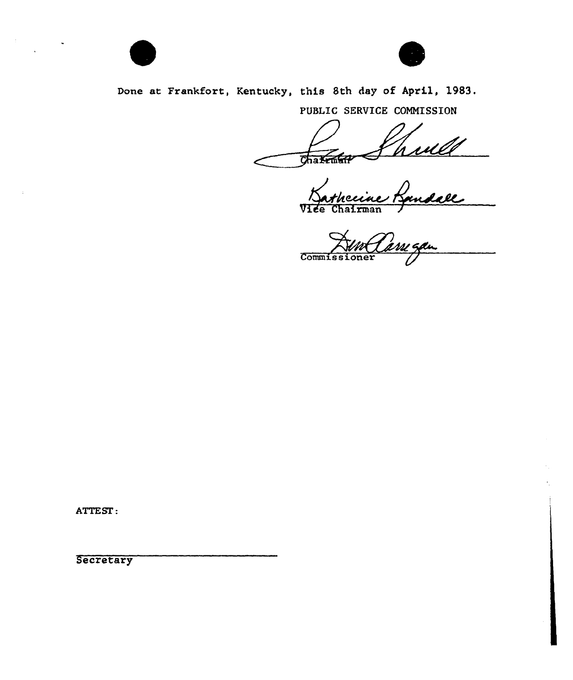



Done at Frankfort, Kentucky, this 8th day of April, 1983.

PUBLIC SERVICE COMMISSION

Shull Chakeman

Kandall

rman

mary<br>Mary gan Commissioner

ATTEST:

Secretary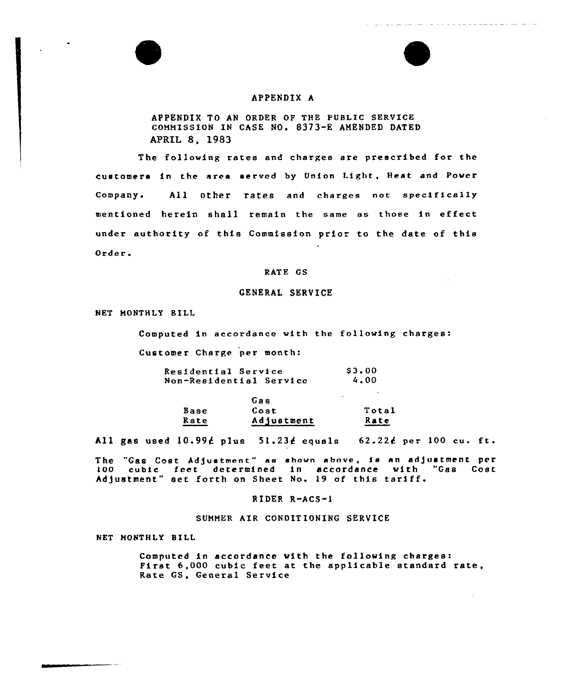# APPENDIX A

and the second second second second second

# APPENDIX TO AN ORDER OF THE PUBLIC SERVICE COMMISSION IN CASE NO. 8373-E AMENDED DATED APRIL 8, 1983

The following rates and charges are prescribed for the customers in the area served by Union Light, Heat and Power Company. All other rates and charges not specifically mentioned herein shall remain the same as those in effect under authority of this Commission prior to the date of this Order.

#### RATE CS

### GENERAL SERVICE

NET MONTHLY BILL

Computed in accordance with the following charges:

Customer Charge per month:

Residential Service Non-Residential Service \$ 3.00 4.00

|      | Gas        |       |
|------|------------|-------|
| Base | Cost       | Total |
| Rate | Adjustment | Rate  |

All gas used  $10.996$  plus  $51.236$  equals  $62.226$  per 100 cu. ft.

The "Gas Cost Adjustment" as shown above, is an adjustment per LOO cubic feet determined in accordance with "Gas Cost Adjustment" set forth on Sheet No. 19 of this tariff.

#### RIDER R-ACS-1

### SUMMER AIR CONDITIONING SERVICE

NET MONTHLY BILL

Computed in accordance with the following charges:<br>First 6,000 cubic feet at the applicable standard rate, Rate GS, General Service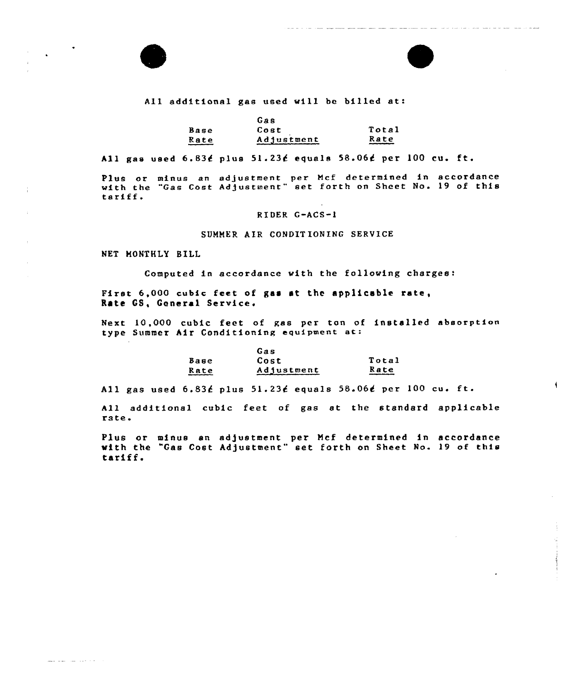



and a common approach which was said the same man manifestation and which is the contract which was a man which we approach the same of the same

## All additional gas used will be billed at:

|                | Gas        |                                       |
|----------------|------------|---------------------------------------|
| Base           | Cost       | Total                                 |
| Rate<br>______ | Adjustment | Rate<br><u>en programmatischer Ka</u> |

All gas used  $6.836$  plus  $51.236$  equals  $58.066$  per 100 cu. ft.

Plus or minus an adjustment per Mcf determined in accordance rius of minus an adjustment per nex determined in accordance<br>with the "Gas Cost Adjustment" set forth on Sheet No. 19 of this<br>tariff.

#### RIDER G-ACS-1

#### SUMMER AIR CONDITIONING SERVICE

NET MONTHLY BILL

Computed in accordance with the following charges:

First 6,000 cubic feet of gas at the applicable rate, Rate GS, General Service.

Next 10,000 cubic feet of gas per ton of installed absorption type Summer Air Conditioning equipment at:

|      | Gas        |       |
|------|------------|-------|
| Ваве | Cost       | Total |
| Rate | Adjustment | Rate  |

All gas used 6.83k plus 51.23k equals 58.064 per <sup>100</sup> cu. ft.

A11 additional cubic feet of gas at the standard applicable rate.

Plus or minus an adjustment per Mcf determined in accordance with the "Gas Cost Adjustment" set forth on Sheet No. 19 of this<br>tariff.